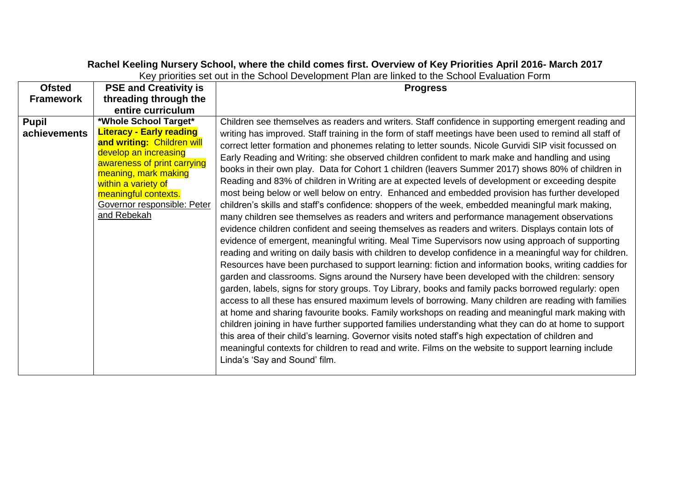## **Rachel Keeling Nursery School, where the child comes first. Overview of Key Priorities April 2016- March 2017**

| <b>Ofsted</b>    | <b>PSE and Creativity is</b>                                                                                                                                                                                                               | <b>Progress</b>                                                                                                                                                                                                                                                                                                                                                                                                                                                                                                                                                                                                                                                                                                                                                                                                                                                                                                                                                                                                                                                                                                                                                                                                                                                                                                                                                                                                                                                                                                                                                                                                                                                                                                                                                                                                                                                                                          |
|------------------|--------------------------------------------------------------------------------------------------------------------------------------------------------------------------------------------------------------------------------------------|----------------------------------------------------------------------------------------------------------------------------------------------------------------------------------------------------------------------------------------------------------------------------------------------------------------------------------------------------------------------------------------------------------------------------------------------------------------------------------------------------------------------------------------------------------------------------------------------------------------------------------------------------------------------------------------------------------------------------------------------------------------------------------------------------------------------------------------------------------------------------------------------------------------------------------------------------------------------------------------------------------------------------------------------------------------------------------------------------------------------------------------------------------------------------------------------------------------------------------------------------------------------------------------------------------------------------------------------------------------------------------------------------------------------------------------------------------------------------------------------------------------------------------------------------------------------------------------------------------------------------------------------------------------------------------------------------------------------------------------------------------------------------------------------------------------------------------------------------------------------------------------------------------|
| <b>Framework</b> | threading through the                                                                                                                                                                                                                      |                                                                                                                                                                                                                                                                                                                                                                                                                                                                                                                                                                                                                                                                                                                                                                                                                                                                                                                                                                                                                                                                                                                                                                                                                                                                                                                                                                                                                                                                                                                                                                                                                                                                                                                                                                                                                                                                                                          |
|                  | entire curriculum                                                                                                                                                                                                                          |                                                                                                                                                                                                                                                                                                                                                                                                                                                                                                                                                                                                                                                                                                                                                                                                                                                                                                                                                                                                                                                                                                                                                                                                                                                                                                                                                                                                                                                                                                                                                                                                                                                                                                                                                                                                                                                                                                          |
| <b>Pupil</b>     | *Whole School Target*                                                                                                                                                                                                                      | Children see themselves as readers and writers. Staff confidence in supporting emergent reading and                                                                                                                                                                                                                                                                                                                                                                                                                                                                                                                                                                                                                                                                                                                                                                                                                                                                                                                                                                                                                                                                                                                                                                                                                                                                                                                                                                                                                                                                                                                                                                                                                                                                                                                                                                                                      |
| achievements     | <b>Literacy - Early reading</b><br>and writing: Children will<br>develop an increasing<br>awareness of print carrying<br>meaning, mark making<br>within a variety of<br>meaningful contexts.<br>Governor responsible: Peter<br>and Rebekah | writing has improved. Staff training in the form of staff meetings have been used to remind all staff of<br>correct letter formation and phonemes relating to letter sounds. Nicole Gurvidi SIP visit focussed on<br>Early Reading and Writing: she observed children confident to mark make and handling and using<br>books in their own play. Data for Cohort 1 children (leavers Summer 2017) shows 80% of children in<br>Reading and 83% of children in Writing are at expected levels of development or exceeding despite<br>most being below or well below on entry. Enhanced and embedded provision has further developed<br>children's skills and staff's confidence: shoppers of the week, embedded meaningful mark making,<br>many children see themselves as readers and writers and performance management observations<br>evidence children confident and seeing themselves as readers and writers. Displays contain lots of<br>evidence of emergent, meaningful writing. Meal Time Supervisors now using approach of supporting<br>reading and writing on daily basis with children to develop confidence in a meaningful way for children.<br>Resources have been purchased to support learning: fiction and information books, writing caddies for<br>garden and classrooms. Signs around the Nursery have been developed with the children: sensory<br>garden, labels, signs for story groups. Toy Library, books and family packs borrowed regularly: open<br>access to all these has ensured maximum levels of borrowing. Many children are reading with families<br>at home and sharing favourite books. Family workshops on reading and meaningful mark making with<br>children joining in have further supported families understanding what they can do at home to support<br>this area of their child's learning. Governor visits noted staff's high expectation of children and |
|                  |                                                                                                                                                                                                                                            | meaningful contexts for children to read and write. Films on the website to support learning include<br>Linda's 'Say and Sound' film.                                                                                                                                                                                                                                                                                                                                                                                                                                                                                                                                                                                                                                                                                                                                                                                                                                                                                                                                                                                                                                                                                                                                                                                                                                                                                                                                                                                                                                                                                                                                                                                                                                                                                                                                                                    |

Key priorities set out in the School Development Plan are linked to the School Evaluation Form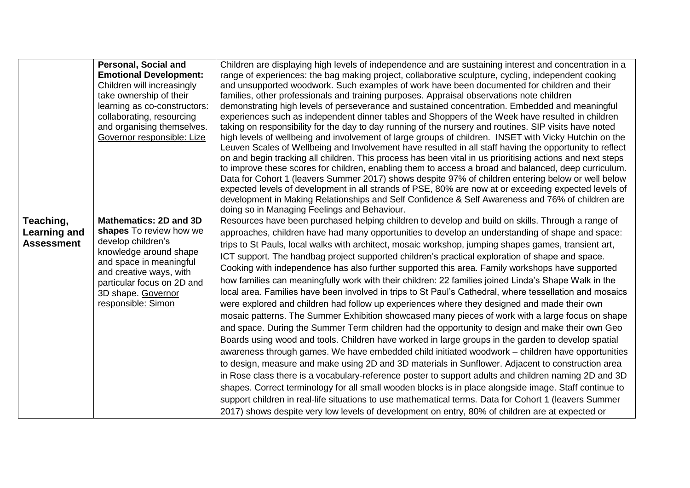|                   | <b>Personal, Social and</b>                                                      | Children are displaying high levels of independence and are sustaining interest and concentration in a                                           |
|-------------------|----------------------------------------------------------------------------------|--------------------------------------------------------------------------------------------------------------------------------------------------|
|                   | <b>Emotional Development:</b>                                                    | range of experiences: the bag making project, collaborative sculpture, cycling, independent cooking                                              |
|                   | Children will increasingly                                                       | and unsupported woodwork. Such examples of work have been documented for children and their                                                      |
|                   | take ownership of their                                                          | families, other professionals and training purposes. Appraisal observations note children                                                        |
|                   | learning as co-constructors:                                                     | demonstrating high levels of perseverance and sustained concentration. Embedded and meaningful                                                   |
|                   | collaborating, resourcing                                                        | experiences such as independent dinner tables and Shoppers of the Week have resulted in children                                                 |
|                   | and organising themselves.                                                       | taking on responsibility for the day to day running of the nursery and routines. SIP visits have noted                                           |
|                   | Governor responsible: Lize                                                       | high levels of wellbeing and involvement of large groups of children. INSET with Vicky Hutchin on the                                            |
|                   |                                                                                  | Leuven Scales of Wellbeing and Involvement have resulted in all staff having the opportunity to reflect                                          |
|                   |                                                                                  | on and begin tracking all children. This process has been vital in us prioritising actions and next steps                                        |
|                   |                                                                                  | to improve these scores for children, enabling them to access a broad and balanced, deep curriculum.                                             |
|                   |                                                                                  | Data for Cohort 1 (leavers Summer 2017) shows despite 97% of children entering below or well below                                               |
|                   |                                                                                  | expected levels of development in all strands of PSE, 80% are now at or exceeding expected levels of                                             |
|                   |                                                                                  | development in Making Relationships and Self Confidence & Self Awareness and 76% of children are<br>doing so in Managing Feelings and Behaviour. |
| Teaching,         | Mathematics: 2D and 3D                                                           | Resources have been purchased helping children to develop and build on skills. Through a range of                                                |
|                   | shapes To review how we                                                          |                                                                                                                                                  |
| Learning and      | develop children's                                                               | approaches, children have had many opportunities to develop an understanding of shape and space:                                                 |
| <b>Assessment</b> | knowledge around shape                                                           | trips to St Pauls, local walks with architect, mosaic workshop, jumping shapes games, transient art,                                             |
|                   | and space in meaningful<br>and creative ways, with<br>particular focus on 2D and | ICT support. The handbag project supported children's practical exploration of shape and space.                                                  |
|                   |                                                                                  | Cooking with independence has also further supported this area. Family workshops have supported                                                  |
|                   |                                                                                  | how families can meaningfully work with their children: 22 families joined Linda's Shape Walk in the                                             |
|                   | 3D shape. Governor                                                               | local area. Families have been involved in trips to St Paul's Cathedral, where tessellation and mosaics                                          |
|                   | responsible: Simon                                                               | were explored and children had follow up experiences where they designed and made their own                                                      |
|                   |                                                                                  | mosaic patterns. The Summer Exhibition showcased many pieces of work with a large focus on shape                                                 |
|                   |                                                                                  | and space. During the Summer Term children had the opportunity to design and make their own Geo                                                  |
|                   |                                                                                  | Boards using wood and tools. Children have worked in large groups in the garden to develop spatial                                               |
|                   |                                                                                  | awareness through games. We have embedded child initiated woodwork – children have opportunities                                                 |
|                   |                                                                                  | to design, measure and make using 2D and 3D materials in Sunflower. Adjacent to construction area                                                |
|                   |                                                                                  |                                                                                                                                                  |
|                   |                                                                                  | in Rose class there is a vocabulary-reference poster to support adults and children naming 2D and 3D                                             |
|                   |                                                                                  | shapes. Correct terminology for all small wooden blocks is in place alongside image. Staff continue to                                           |
|                   |                                                                                  | support children in real-life situations to use mathematical terms. Data for Cohort 1 (leavers Summer                                            |
|                   |                                                                                  | 2017) shows despite very low levels of development on entry, 80% of children are at expected or                                                  |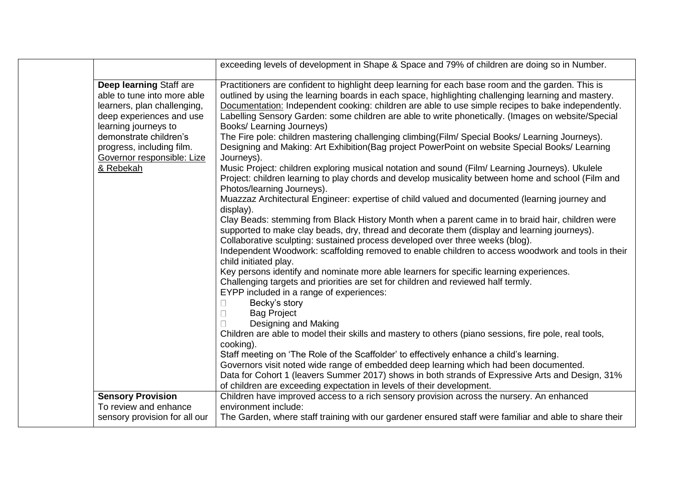|                                                                                                                                           | exceeding levels of development in Shape & Space and 79% of children are doing so in Number.                                                                                                                                                                                                                                                                                                                                                      |
|-------------------------------------------------------------------------------------------------------------------------------------------|---------------------------------------------------------------------------------------------------------------------------------------------------------------------------------------------------------------------------------------------------------------------------------------------------------------------------------------------------------------------------------------------------------------------------------------------------|
| Deep learning Staff are<br>able to tune into more able<br>learners, plan challenging,<br>deep experiences and use<br>learning journeys to | Practitioners are confident to highlight deep learning for each base room and the garden. This is<br>outlined by using the learning boards in each space, highlighting challenging learning and mastery.<br>Documentation: Independent cooking: children are able to use simple recipes to bake independently.<br>Labelling Sensory Garden: some children are able to write phonetically. (Images on website/Special<br>Books/ Learning Journeys) |
| demonstrate children's<br>progress, including film.<br>Governor responsible: Lize                                                         | The Fire pole: children mastering challenging climbing(Film/ Special Books/ Learning Journeys).<br>Designing and Making: Art Exhibition (Bag project PowerPoint on website Special Books/ Learning<br>Journeys).                                                                                                                                                                                                                                  |
| & Rebekah                                                                                                                                 | Music Project: children exploring musical notation and sound (Film/ Learning Journeys). Ukulele<br>Project: children learning to play chords and develop musicality between home and school (Film and<br>Photos/learning Journeys).                                                                                                                                                                                                               |
|                                                                                                                                           | Muazzaz Architectural Engineer: expertise of child valued and documented (learning journey and<br>display).                                                                                                                                                                                                                                                                                                                                       |
|                                                                                                                                           | Clay Beads: stemming from Black History Month when a parent came in to braid hair, children were<br>supported to make clay beads, dry, thread and decorate them (display and learning journeys).<br>Collaborative sculpting: sustained process developed over three weeks (blog).                                                                                                                                                                 |
|                                                                                                                                           | Independent Woodwork: scaffolding removed to enable children to access woodwork and tools in their<br>child initiated play.                                                                                                                                                                                                                                                                                                                       |
|                                                                                                                                           | Key persons identify and nominate more able learners for specific learning experiences.<br>Challenging targets and priorities are set for children and reviewed half termly.<br>EYPP included in a range of experiences:                                                                                                                                                                                                                          |
|                                                                                                                                           | Becky's story<br>$\Box$<br><b>Bag Project</b><br>$\Box$                                                                                                                                                                                                                                                                                                                                                                                           |
|                                                                                                                                           | Designing and Making<br>$\Box$<br>Children are able to model their skills and mastery to others (piano sessions, fire pole, real tools,<br>cooking).                                                                                                                                                                                                                                                                                              |
|                                                                                                                                           | Staff meeting on 'The Role of the Scaffolder' to effectively enhance a child's learning.<br>Governors visit noted wide range of embedded deep learning which had been documented.<br>Data for Cohort 1 (leavers Summer 2017) shows in both strands of Expressive Arts and Design, 31%<br>of children are exceeding expectation in levels of their development.                                                                                    |
| <b>Sensory Provision</b>                                                                                                                  | Children have improved access to a rich sensory provision across the nursery. An enhanced                                                                                                                                                                                                                                                                                                                                                         |
| To review and enhance<br>sensory provision for all our                                                                                    | environment include:<br>The Garden, where staff training with our gardener ensured staff were familiar and able to share their                                                                                                                                                                                                                                                                                                                    |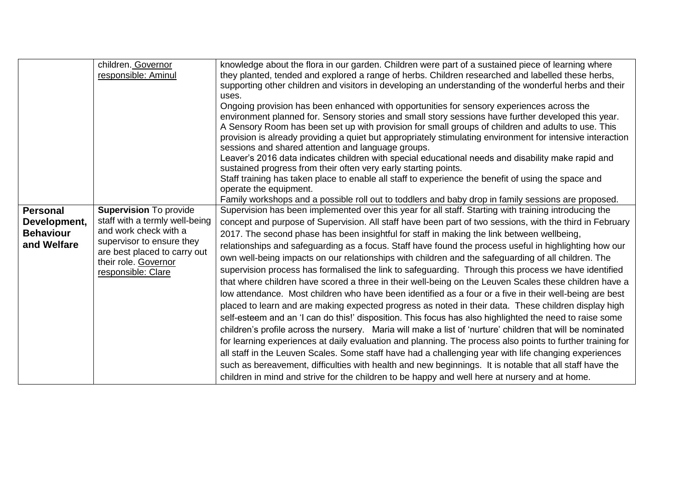|                  | children. Governor                                   | knowledge about the flora in our garden. Children were part of a sustained piece of learning where         |
|------------------|------------------------------------------------------|------------------------------------------------------------------------------------------------------------|
|                  | responsible: Aminul                                  | they planted, tended and explored a range of herbs. Children researched and labelled these herbs,          |
|                  |                                                      | supporting other children and visitors in developing an understanding of the wonderful herbs and their     |
|                  |                                                      | uses.                                                                                                      |
|                  |                                                      | Ongoing provision has been enhanced with opportunities for sensory experiences across the                  |
|                  |                                                      | environment planned for. Sensory stories and small story sessions have further developed this year.        |
|                  |                                                      |                                                                                                            |
|                  |                                                      | A Sensory Room has been set up with provision for small groups of children and adults to use. This         |
|                  |                                                      | provision is already providing a quiet but appropriately stimulating environment for intensive interaction |
|                  |                                                      | sessions and shared attention and language groups.                                                         |
|                  |                                                      | Leaver's 2016 data indicates children with special educational needs and disability make rapid and         |
|                  |                                                      | sustained progress from their often very early starting points.                                            |
|                  |                                                      | Staff training has taken place to enable all staff to experience the benefit of using the space and        |
|                  |                                                      | operate the equipment.                                                                                     |
|                  |                                                      | Family workshops and a possible roll out to toddlers and baby drop in family sessions are proposed.        |
| <b>Personal</b>  | <b>Supervision To provide</b>                        | Supervision has been implemented over this year for all staff. Starting with training introducing the      |
|                  | staff with a termly well-being                       |                                                                                                            |
| Development,     | and work check with a                                | concept and purpose of Supervision. All staff have been part of two sessions, with the third in February   |
| <b>Behaviour</b> |                                                      | 2017. The second phase has been insightful for staff in making the link between wellbeing,                 |
| and Welfare      | supervisor to ensure they                            | relationships and safeguarding as a focus. Staff have found the process useful in highlighting how our     |
|                  | are best placed to carry out<br>their role. Governor | own well-being impacts on our relationships with children and the safeguarding of all children. The        |
|                  |                                                      | supervision process has formalised the link to safeguarding. Through this process we have identified       |
|                  | responsible: Clare                                   | that where children have scored a three in their well-being on the Leuven Scales these children have a     |
|                  |                                                      |                                                                                                            |
|                  |                                                      | low attendance. Most children who have been identified as a four or a five in their well-being are best    |
|                  |                                                      | placed to learn and are making expected progress as noted in their data. These children display high       |
|                  |                                                      | self-esteem and an 'I can do this!' disposition. This focus has also highlighted the need to raise some    |
|                  |                                                      | children's profile across the nursery. Maria will make a list of 'nurture' children that will be nominated |
|                  |                                                      | for learning experiences at daily evaluation and planning. The process also points to further training for |
|                  |                                                      |                                                                                                            |
|                  |                                                      | all staff in the Leuven Scales. Some staff have had a challenging year with life changing experiences      |
|                  |                                                      |                                                                                                            |
|                  |                                                      | such as bereavement, difficulties with health and new beginnings. It is notable that all staff have the    |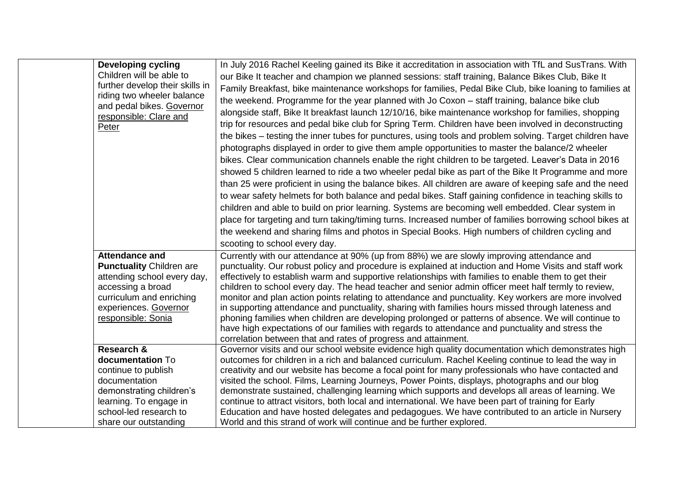| <b>Developing cycling</b><br>Children will be able to<br>further develop their skills in<br>riding two wheeler balance<br>and pedal bikes. Governor<br>responsible: Clare and<br>Peter  | In July 2016 Rachel Keeling gained its Bike it accreditation in association with TfL and SusTrans. With<br>our Bike It teacher and champion we planned sessions: staff training, Balance Bikes Club, Bike It<br>Family Breakfast, bike maintenance workshops for families, Pedal Bike Club, bike loaning to families at<br>the weekend. Programme for the year planned with Jo Coxon – staff training, balance bike club<br>alongside staff, Bike It breakfast launch 12/10/16, bike maintenance workshop for families, shopping<br>trip for resources and pedal bike club for Spring Term. Children have been involved in deconstructing<br>the bikes – testing the inner tubes for punctures, using tools and problem solving. Target children have<br>photographs displayed in order to give them ample opportunities to master the balance/2 wheeler<br>bikes. Clear communication channels enable the right children to be targeted. Leaver's Data in 2016<br>showed 5 children learned to ride a two wheeler pedal bike as part of the Bike It Programme and more<br>than 25 were proficient in using the balance bikes. All children are aware of keeping safe and the need<br>to wear safety helmets for both balance and pedal bikes. Staff gaining confidence in teaching skills to<br>children and able to build on prior learning. Systems are becoming well embedded. Clear system in<br>place for targeting and turn taking/timing turns. Increased number of families borrowing school bikes at<br>the weekend and sharing films and photos in Special Books. High numbers of children cycling and<br>scooting to school every day. |
|-----------------------------------------------------------------------------------------------------------------------------------------------------------------------------------------|----------------------------------------------------------------------------------------------------------------------------------------------------------------------------------------------------------------------------------------------------------------------------------------------------------------------------------------------------------------------------------------------------------------------------------------------------------------------------------------------------------------------------------------------------------------------------------------------------------------------------------------------------------------------------------------------------------------------------------------------------------------------------------------------------------------------------------------------------------------------------------------------------------------------------------------------------------------------------------------------------------------------------------------------------------------------------------------------------------------------------------------------------------------------------------------------------------------------------------------------------------------------------------------------------------------------------------------------------------------------------------------------------------------------------------------------------------------------------------------------------------------------------------------------------------------------------------------------------------------------------------------------------|
| <b>Attendance and</b><br><b>Punctuality Children are</b><br>attending school every day,<br>accessing a broad<br>curriculum and enriching<br>experiences. Governor<br>responsible: Sonia | Currently with our attendance at 90% (up from 88%) we are slowly improving attendance and<br>punctuality. Our robust policy and procedure is explained at induction and Home Visits and staff work<br>effectively to establish warm and supportive relationships with families to enable them to get their<br>children to school every day. The head teacher and senior admin officer meet half termly to review,<br>monitor and plan action points relating to attendance and punctuality. Key workers are more involved<br>in supporting attendance and punctuality, sharing with families hours missed through lateness and<br>phoning families when children are developing prolonged or patterns of absence. We will continue to<br>have high expectations of our families with regards to attendance and punctuality and stress the<br>correlation between that and rates of progress and attainment.                                                                                                                                                                                                                                                                                                                                                                                                                                                                                                                                                                                                                                                                                                                                        |
| Research &<br>documentation To<br>continue to publish<br>documentation<br>demonstrating children's<br>learning. To engage in<br>school-led research to<br>share our outstanding         | Governor visits and our school website evidence high quality documentation which demonstrates high<br>outcomes for children in a rich and balanced curriculum. Rachel Keeling continue to lead the way in<br>creativity and our website has become a focal point for many professionals who have contacted and<br>visited the school. Films, Learning Journeys, Power Points, displays, photographs and our blog<br>demonstrate sustained, challenging learning which supports and develops all areas of learning. We<br>continue to attract visitors, both local and international. We have been part of training for Early<br>Education and have hosted delegates and pedagogues. We have contributed to an article in Nursery<br>World and this strand of work will continue and be further explored.                                                                                                                                                                                                                                                                                                                                                                                                                                                                                                                                                                                                                                                                                                                                                                                                                                           |